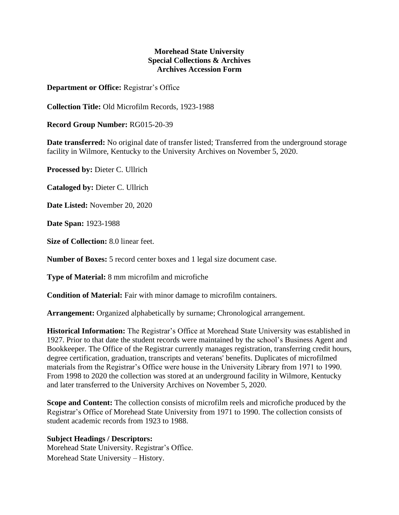## **Morehead State University Special Collections & Archives Archives Accession Form**

**Department or Office:** Registrar's Office

**Collection Title:** Old Microfilm Records, 1923-1988

**Record Group Number:** RG015-20-39

**Date transferred:** No original date of transfer listed; Transferred from the underground storage facility in Wilmore, Kentucky to the University Archives on November 5, 2020.

**Processed by:** Dieter C. Ullrich

**Cataloged by:** Dieter C. Ullrich

**Date Listed:** November 20, 2020

**Date Span:** 1923-1988

**Size of Collection:** 8.0 linear feet.

**Number of Boxes:** 5 record center boxes and 1 legal size document case.

**Type of Material:** 8 mm microfilm and microfiche

**Condition of Material:** Fair with minor damage to microfilm containers.

**Arrangement:** Organized alphabetically by surname; Chronological arrangement.

**Historical Information:** The Registrar's Office at Morehead State University was established in 1927. Prior to that date the student records were maintained by the school's Business Agent and Bookkeeper. The Office of the Registrar currently manages registration, transferring credit hours, degree certification, graduation, transcripts and veterans' benefits. Duplicates of microfilmed materials from the Registrar's Office were house in the University Library from 1971 to 1990. From 1998 to 2020 the collection was stored at an underground facility in Wilmore, Kentucky and later transferred to the University Archives on November 5, 2020.

**Scope and Content:** The collection consists of microfilm reels and microfiche produced by the Registrar's Office of Morehead State University from 1971 to 1990. The collection consists of student academic records from 1923 to 1988.

**Subject Headings / Descriptors:** Morehead State University. Registrar's Office. Morehead State University – History.